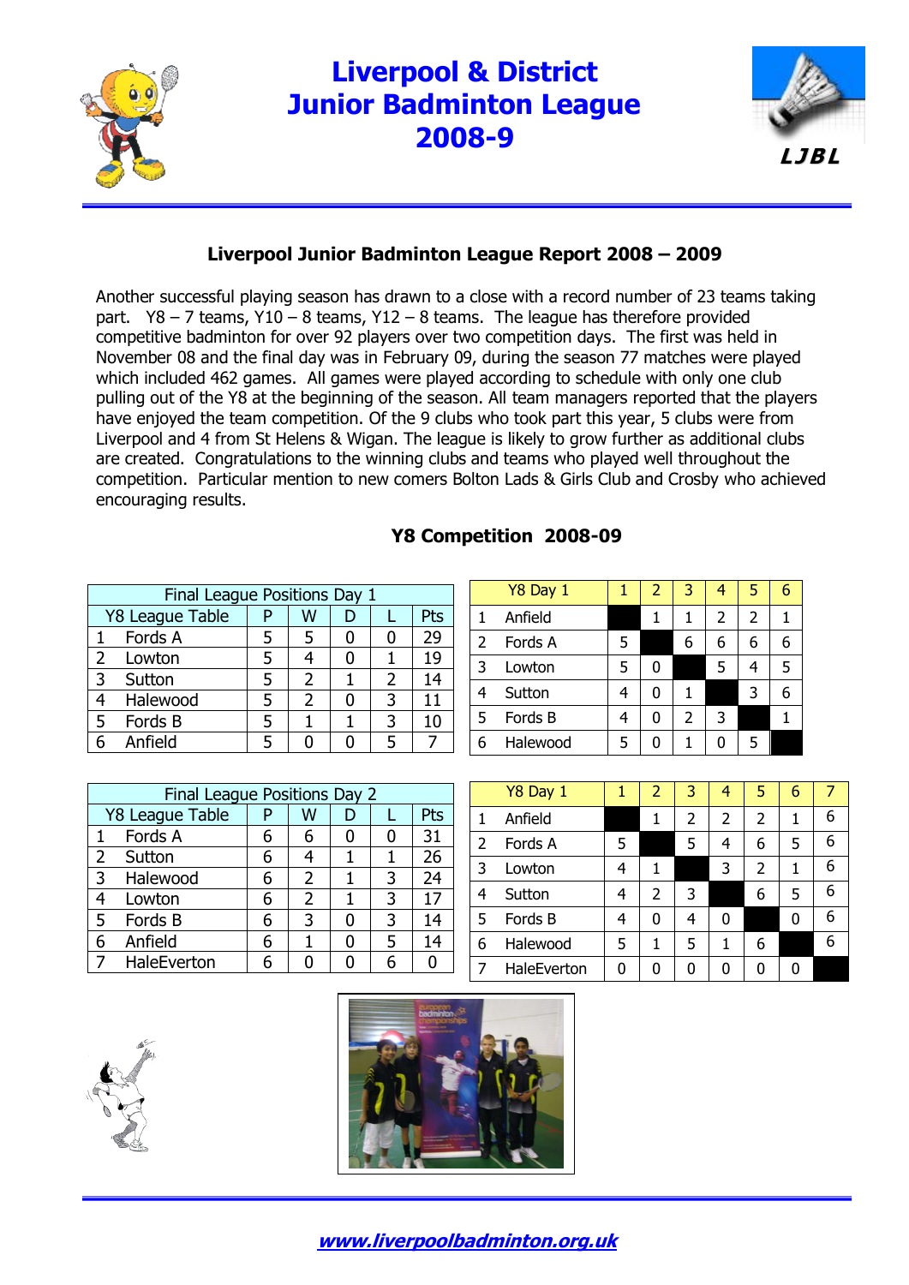

## **Liverpool & District Junior Badminton League 2008-9**



## **Liverpool Junior Badminton League Report 2008 – 2009**

Another successful playing season has drawn to a close with a record number of 23 teams taking part.  $Y8 - 7$  teams,  $Y10 - 8$  teams,  $Y12 - 8$  teams. The league has therefore provided competitive badminton for over 92 players over two competition days. The first was held in November 08 and the final day was in February 09, during the season 77 matches were played which included 462 games. All games were played according to schedule with only one club pulling out of the Y8 at the beginning of the season. All team managers reported that the players have enjoyed the team competition. Of the 9 clubs who took part this year, 5 clubs were from Liverpool and 4 from St Helens & Wigan. The league is likely to grow further as additional clubs are created. Congratulations to the winning clubs and teams who played well throughout the competition. Particular mention to new comers Bolton Lads & Girls Club and Crosby who achieved encouraging results.

## **Y8 Competition 2008-09**

|                | Final League Positions Day 1 |  |               |  |               |     |  |  |  |  |
|----------------|------------------------------|--|---------------|--|---------------|-----|--|--|--|--|
|                | Y8 League Table              |  | w             |  |               | Pts |  |  |  |  |
|                | Fords A                      |  |               |  |               | 29  |  |  |  |  |
| $\overline{2}$ | Lowton                       |  |               |  |               | 19  |  |  |  |  |
| 3              | Sutton                       |  | 2             |  | $\mathcal{P}$ | 14  |  |  |  |  |
| 4              | Halewood                     |  | $\mathcal{P}$ |  | 3             | 11  |  |  |  |  |
| 5              | Fords B                      |  |               |  | 3             | 10  |  |  |  |  |
|                | Anfield                      |  |               |  | 5             |     |  |  |  |  |

|   | Y8 Day 1 |   | 2 | 3              | 4 | 5              | 6 |
|---|----------|---|---|----------------|---|----------------|---|
|   | Anfield  |   | 1 | 1              | 2 | $\overline{2}$ |   |
| 2 | Fords A  | 5 |   | 6              | 6 | 6              | 6 |
| 3 | Lowton   | 5 |   |                | 5 | 4              | 5 |
| 4 | Sutton   | 4 | 0 | 1              |   | 3              | 6 |
| 5 | Fords B  | 4 | 0 | $\overline{2}$ | 3 |                |   |
| 6 | Halewood | 5 | n |                | 0 | 5              |   |

|   | Final League Positions Day 2 |   |   |  |   |     |  |  |  |  |
|---|------------------------------|---|---|--|---|-----|--|--|--|--|
|   | Y8 League Table              |   | W |  |   | Pts |  |  |  |  |
| 1 | Fords A                      | 6 |   |  | 0 | 31  |  |  |  |  |
| 2 | Sutton                       | 6 |   |  |   | 26  |  |  |  |  |
| 3 | Halewood                     | 6 | 2 |  | 3 | 24  |  |  |  |  |
| 4 | Lowton                       | 6 | 2 |  | 3 | 17  |  |  |  |  |
| 5 | Fords B                      | 6 | 3 |  | 3 | 14  |  |  |  |  |
| 6 | Anfield                      | 6 |   |  | 5 | 14  |  |  |  |  |
|   | HaleEverton                  |   |   |  |   |     |  |  |  |  |

|   | Y8 Day 1    |   | 2 | 3 | 4              | 5 | 6 |   |
|---|-------------|---|---|---|----------------|---|---|---|
|   | Anfield     |   |   | 2 | $\overline{2}$ | 2 | 1 | 6 |
| 2 | Fords A     | 5 |   | 5 | 4              | 6 | 5 | 6 |
| 3 | Lowton      | 4 | 1 |   | 3              | 2 | 1 | 6 |
| 4 | Sutton      | 4 | 2 | 3 |                | 6 | 5 | 6 |
| 5 | Fords B     | 4 | 0 | 4 | 0              |   | 0 | 6 |
| 6 | Halewood    | 5 | 1 | 5 | 1              | 6 |   | 6 |
|   | HaleEverton | 0 | 0 | N | 0              |   |   |   |